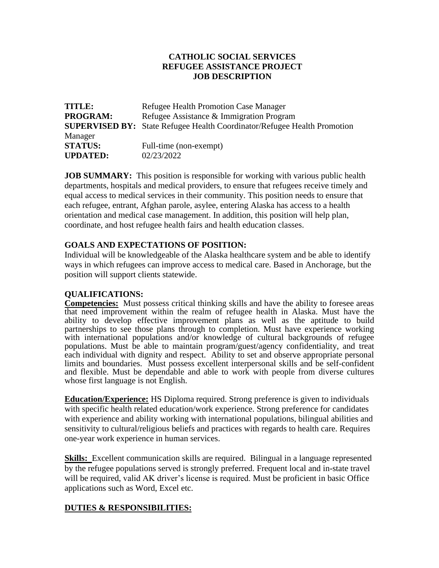## **CATHOLIC SOCIAL SERVICES REFUGEE ASSISTANCE PROJECT JOB DESCRIPTION**

| <b>TITLE:</b>   | Refugee Health Promotion Case Manager                                           |
|-----------------|---------------------------------------------------------------------------------|
| <b>PROGRAM:</b> | Refugee Assistance & Immigration Program                                        |
|                 | <b>SUPERVISED BY:</b> State Refugee Health Coordinator/Refugee Health Promotion |
| Manager         |                                                                                 |
| <b>STATUS:</b>  | Full-time (non-exempt)                                                          |
| <b>UPDATED:</b> | 02/23/2022                                                                      |

**JOB SUMMARY:** This position is responsible for working with various public health departments, hospitals and medical providers, to ensure that refugees receive timely and equal access to medical services in their community. This position needs to ensure that each refugee, entrant, Afghan parole, asylee, entering Alaska has access to a health orientation and medical case management. In addition, this position will help plan, coordinate, and host refugee health fairs and health education classes.

## **GOALS AND EXPECTATIONS OF POSITION:**

Individual will be knowledgeable of the Alaska healthcare system and be able to identify ways in which refugees can improve access to medical care. Based in Anchorage, but the position will support clients statewide.

## **QUALIFICATIONS:**

**Competencies:** Must possess critical thinking skills and have the ability to foresee areas that need improvement within the realm of refugee health in Alaska. Must have the ability to develop effective improvement plans as well as the aptitude to build partnerships to see those plans through to completion. Must have experience working with international populations and/or knowledge of cultural backgrounds of refugee populations. Must be able to maintain program/guest/agency confidentiality, and treat each individual with dignity and respect. Ability to set and observe appropriate personal limits and boundaries. Must possess excellent interpersonal skills and be self-confident and flexible. Must be dependable and able to work with people from diverse cultures whose first language is not English.

**Education/Experience:** HS Diploma required. Strong preference is given to individuals with specific health related education/work experience. Strong preference for candidates with experience and ability working with international populations, bilingual abilities and sensitivity to cultural/religious beliefs and practices with regards to health care. Requires one-year work experience in human services.

**Skills:** Excellent communication skills are required. Bilingual in a language represented by the refugee populations served is strongly preferred. Frequent local and in-state travel will be required, valid AK driver's license is required. Must be proficient in basic Office applications such as Word, Excel etc.

## **DUTIES & RESPONSIBILITIES:**